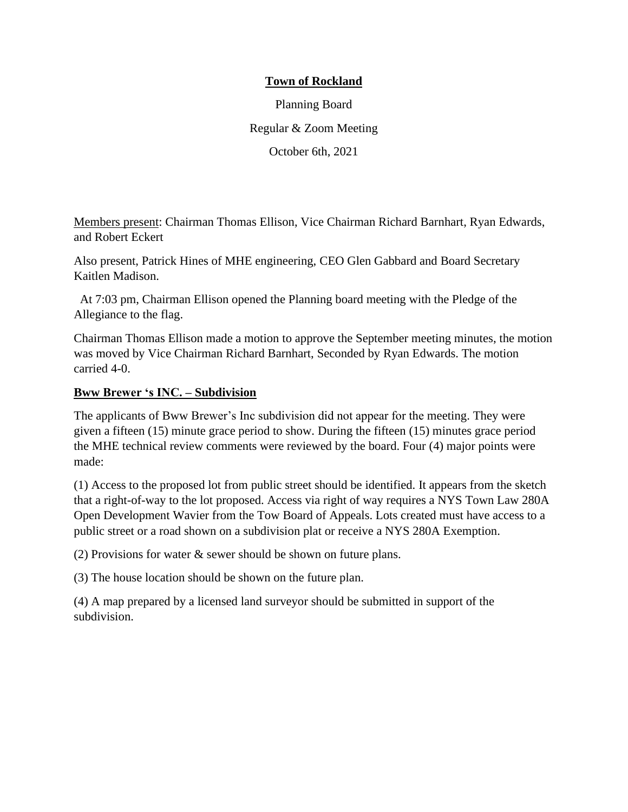## **Town of Rockland**

Planning Board Regular & Zoom Meeting October 6th, 2021

Members present: Chairman Thomas Ellison, Vice Chairman Richard Barnhart, Ryan Edwards, and Robert Eckert

Also present, Patrick Hines of MHE engineering, CEO Glen Gabbard and Board Secretary Kaitlen Madison.

At 7:03 pm, Chairman Ellison opened the Planning board meeting with the Pledge of the Allegiance to the flag.

Chairman Thomas Ellison made a motion to approve the September meeting minutes, the motion was moved by Vice Chairman Richard Barnhart, Seconded by Ryan Edwards. The motion carried 4-0.

## **Bww Brewer 's INC. – Subdivision**

The applicants of Bww Brewer's Inc subdivision did not appear for the meeting. They were given a fifteen (15) minute grace period to show. During the fifteen (15) minutes grace period the MHE technical review comments were reviewed by the board. Four (4) major points were made:

(1) Access to the proposed lot from public street should be identified. It appears from the sketch that a right-of-way to the lot proposed. Access via right of way requires a NYS Town Law 280A Open Development Wavier from the Tow Board of Appeals. Lots created must have access to a public street or a road shown on a subdivision plat or receive a NYS 280A Exemption.

(2) Provisions for water & sewer should be shown on future plans.

(3) The house location should be shown on the future plan.

(4) A map prepared by a licensed land surveyor should be submitted in support of the subdivision.